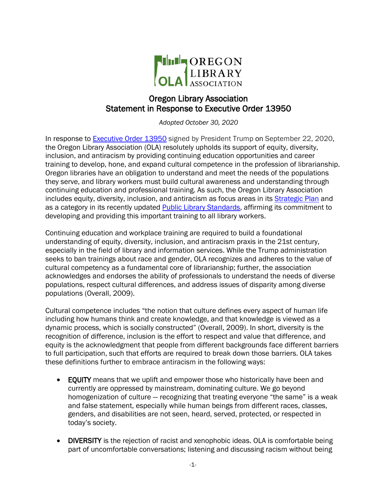

## Oregon Library Association Statement in Response to Executive Order 13950

*Adopted October 30, 2020*

In response to **Executive Order 13950** signed by President Trump on September 22, 2020, the Oregon Library Association (OLA) resolutely upholds its support of equity, diversity, inclusion, and antiracism by providing continuing education opportunities and career training to develop, hone, and expand cultural competence in the profession of librarianship. Oregon libraries have an obligation to understand and meet the needs of the populations they serve, and library workers must build cultural awareness and understanding through continuing education and professional training. As such, the Oregon Library Association includes equity, diversity, inclusion, and antiracism as focus areas in its [Strategic Plan](https://www.olaweb.org/assets/StrategicPlan/2020-23/2020-23_OLA-Strategic-Plan.pdf) and as a category in its recently updated **Public Library Standards**, affirming its commitment to developing and providing this important training to all library workers.

Continuing education and workplace training are required to build a foundational understanding of equity, diversity, inclusion, and antiracism praxis in the 21st century, especially in the field of library and information services. While the Trump administration seeks to ban trainings about race and gender, OLA recognizes and adheres to the value of cultural competency as a fundamental core of librarianship; further, the association acknowledges and endorses the ability of professionals to understand the needs of diverse populations, respect cultural differences, and address issues of disparity among diverse populations (Overall, 2009).

Cultural competence includes "the notion that culture defines every aspect of human life including how humans think and create knowledge, and that knowledge is viewed as a dynamic process, which is socially constructed" (Overall, 2009). In short, diversity is the recognition of difference, inclusion is the effort to respect and value that difference, and equity is the acknowledgment that people from different backgrounds face different barriers to full participation, such that efforts are required to break down those barriers. OLA takes these definitions further to embrace antiracism in the following ways:

- EQUITY means that we uplift and empower those who historically have been and currently are oppressed by mainstream, dominating culture. We go beyond homogenization of culture — recognizing that treating everyone "the same" is a weak and false statement, especially while human beings from different races, classes, genders, and disabilities are not seen, heard, served, protected, or respected in today's society.
- DIVERSITY is the rejection of racist and xenophobic ideas. OLA is comfortable being part of uncomfortable conversations; listening and discussing racism without being